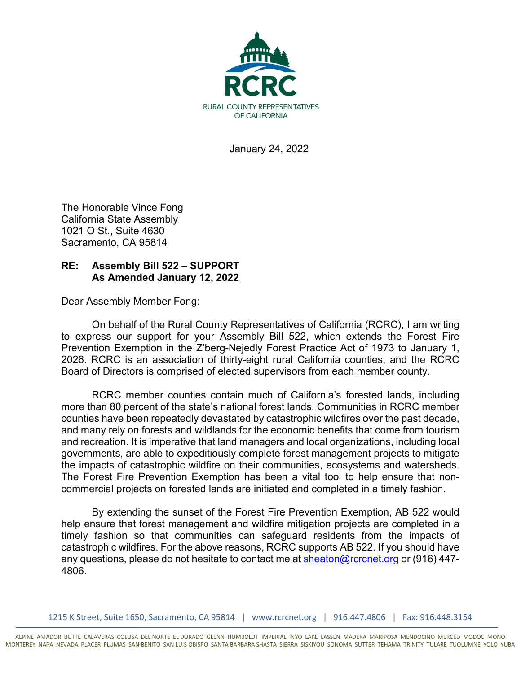

January 24, 2022

The Honorable Vince Fong California State Assembly 1021 O St., Suite 4630 Sacramento, CA 95814

## **RE: Assembly Bill 522 – SUPPORT As Amended January 12, 2022**

Dear Assembly Member Fong:

On behalf of the Rural County Representatives of California (RCRC), I am writing to express our support for your Assembly Bill 522, which extends the Forest Fire Prevention Exemption in the Z'berg-Nejedly Forest Practice Act of 1973 to January 1, 2026. RCRC is an association of thirty-eight rural California counties, and the RCRC Board of Directors is comprised of elected supervisors from each member county.

RCRC member counties contain much of California's forested lands, including more than 80 percent of the state's national forest lands. Communities in RCRC member counties have been repeatedly devastated by catastrophic wildfires over the past decade, and many rely on forests and wildlands for the economic benefits that come from tourism and recreation. It is imperative that land managers and local organizations, including local governments, are able to expeditiously complete forest management projects to mitigate the impacts of catastrophic wildfire on their communities, ecosystems and watersheds. The Forest Fire Prevention Exemption has been a vital tool to help ensure that noncommercial projects on forested lands are initiated and completed in a timely fashion.

By extending the sunset of the Forest Fire Prevention Exemption, AB 522 would help ensure that forest management and wildfire mitigation projects are completed in a timely fashion so that communities can safeguard residents from the impacts of catastrophic wildfires. For the above reasons, RCRC supports AB 522. If you should have any questions, please do not hesitate to contact me at [sheaton@rcrcnet.org](mailto:sheaton@rcrcnet.org) or (916) 447-4806.

1215 K Street, Suite 1650, Sacramento, CA 95814 | www.rcrcnet.org | 916.447.4806 | Fax: 916.448.3154